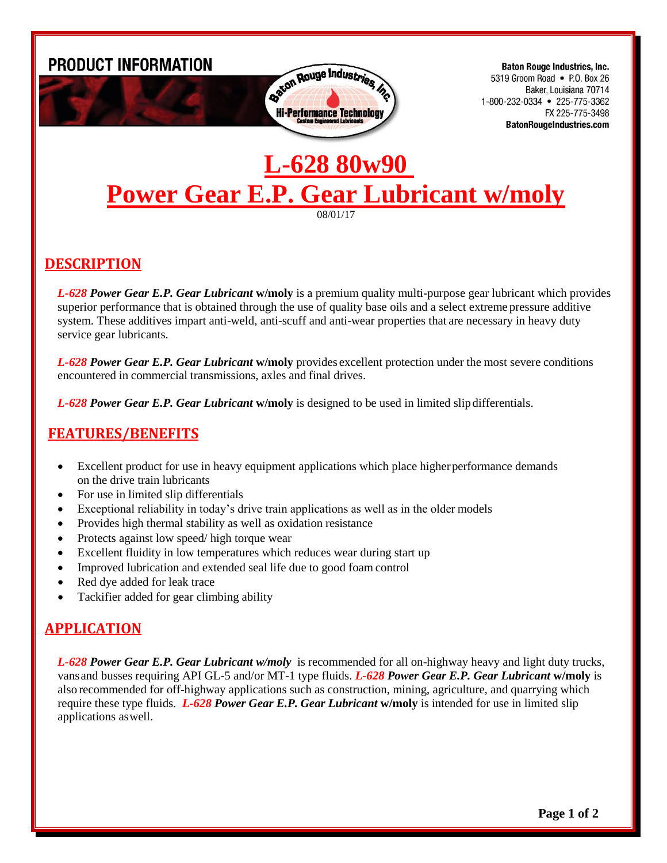

**Baton Rouge Industries, Inc.** 5319 Groom Road • P.O. Box 26 Baker, Louisiana 70714 1-800-232-0334 • 225-775-3362 FX 225-775-3498 **BatonRougeIndustries.com** 

# **L-628 80w90 Power Gear E.P. Gear Lubricant w/moly**

08/01/17

#### **DESCRIPTION**

*L-628 Power Gear E.P. Gear Lubricant* **w/moly** is a premium quality multi-purpose gear lubricant which provides superior performance that is obtained through the use of quality base oils and a select extreme pressure additive system. These additives impart anti-weld, anti-scuff and anti-wear properties that are necessary in heavy duty service gear lubricants.

*L-628 Power Gear E.P. Gear Lubricant* **w/moly** provides excellent protection under the most severe conditions encountered in commercial transmissions, axles and final drives.

*L-628 Power Gear E.P. Gear Lubricant* **w/moly** is designed to be used in limited slip differentials.

## **FEATURES/BENEFITS**

- Excellent product for use in heavy equipment applications which place higher performance demands on the drive train lubricants
- For use in limited slip differentials
- Exceptional reliability in today's drive train applications as well as in the older models
- Provides high thermal stability as well as oxidation resistance
- Protects against low speed/ high torque wear
- Excellent fluidity in low temperatures which reduces wear during start up
- Improved lubrication and extended seal life due to good foam control
- Red dye added for leak trace
- Tackifier added for gear climbing ability

## **APPLICATION**

*L-628 Power Gear E.P. Gear Lubricant w/moly* is recommended for all on-highway heavy and light duty trucks, vansand busses requiring API GL-5 and/or MT-1 type fluids. *L-628 Power Gear E.P. Gear Lubricant* **w/moly** is also recommended for off-highway applications such as construction, mining, agriculture, and quarrying which require these type fluids. *L-628 Power Gear E.P. Gear Lubricant* **w/moly** is intended for use in limited slip applications aswell.